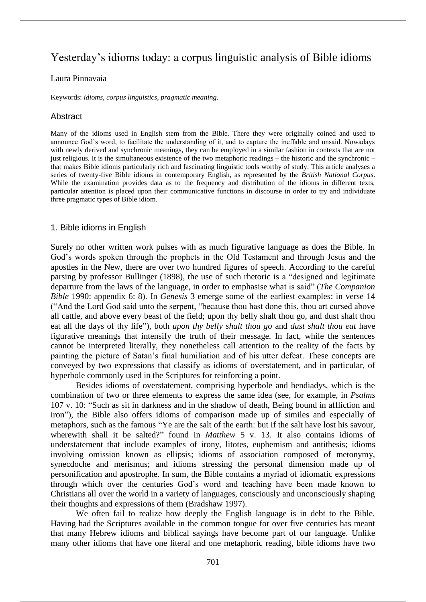# Yesterday's idioms today: a corpus linguistic analysis of Bible idioms

#### Laura Pinnavaia

Keywords: *idioms*, *corpus linguistics*, *pragmatic meaning*.

## **Abstract**

Many of the idioms used in English stem from the Bible. There they were originally coined and used to announce God's word, to facilitate the understanding of it, and to capture the ineffable and unsaid. Nowadays with newly derived and synchronic meanings, they can be employed in a similar fashion in contexts that are not just religious. It is the simultaneous existence of the two metaphoric readings – the historic and the synchronic – that makes Bible idioms particularly rich and fascinating linguistic tools worthy of study. This article analyses a series of twenty-five Bible idioms in contemporary English, as represented by the *British National Corpus*. While the examination provides data as to the frequency and distribution of the idioms in different texts, particular attention is placed upon their communicative functions in discourse in order to try and individuate three pragmatic types of Bible idiom.

#### 1. Bible idioms in English

Surely no other written work pulses with as much figurative language as does the Bible. In God's words spoken through the prophets in the Old Testament and through Jesus and the apostles in the New, there are over two hundred figures of speech. According to the careful parsing by professor Bullinger (1898), the use of such rhetoric is a "designed and legitimate departure from the laws of the language, in order to emphasise what is said" (*The Companion Bible* 1990: appendix 6: 8). In *Genesis* 3 emerge some of the earliest examples: in verse 14 ("And the Lord God said unto the serpent, "because thou hast done this, thou art cursed above all cattle, and above every beast of the field; upon thy belly shalt thou go, and dust shalt thou eat all the days of thy life"), both *upon thy belly shalt thou go* and *dust shalt thou eat* have figurative meanings that intensify the truth of their message. In fact, while the sentences cannot be interpreted literally, they nonetheless call attention to the reality of the facts by painting the picture of Satan's final humiliation and of his utter defeat. These concepts are conveyed by two expressions that classify as idioms of overstatement, and in particular, of hyperbole commonly used in the Scriptures for reinforcing a point.

Besides idioms of overstatement, comprising hyperbole and hendiadys, which is the combination of two or three elements to express the same idea (see, for example, in *Psalms* 107 v. 10: "Such as sit in darkness and in the shadow of death, Being bound in affliction and iron"), the Bible also offers idioms of comparison made up of similes and especially of metaphors, such as the famous "Ye are the salt of the earth: but if the salt have lost his savour, wherewith shall it be salted?" found in *Matthew* 5 v. 13. It also contains idioms of understatement that include examples of irony, litotes, euphemism and antithesis; idioms involving omission known as ellipsis; idioms of association composed of metonymy, synecdoche and merismus; and idioms stressing the personal dimension made up of personification and apostrophe. In sum, the Bible contains a myriad of idiomatic expressions through which over the centuries God's word and teaching have been made known to Christians all over the world in a variety of languages, consciously and unconsciously shaping their thoughts and expressions of them (Bradshaw 1997).

We often fail to realize how deeply the English language is in debt to the Bible. Having had the Scriptures available in the common tongue for over five centuries has meant that many Hebrew idioms and biblical sayings have become part of our language. Unlike many other idioms that have one literal and one metaphoric reading, bible idioms have two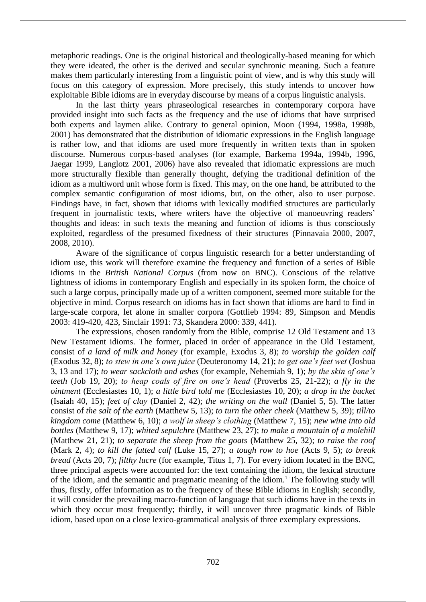metaphoric readings. One is the original historical and theologically-based meaning for which they were ideated, the other is the derived and secular synchronic meaning. Such a feature makes them particularly interesting from a linguistic point of view, and is why this study will focus on this category of expression. More precisely, this study intends to uncover how exploitable Bible idioms are in everyday discourse by means of a corpus linguistic analysis.

In the last thirty years phraseological researches in contemporary corpora have provided insight into such facts as the frequency and the use of idioms that have surprised both experts and laymen alike. Contrary to general opinion, Moon (1994, 1998a, 1998b, 2001) has demonstrated that the distribution of idiomatic expressions in the English language is rather low, and that idioms are used more frequently in written texts than in spoken discourse. Numerous corpus-based analyses (for example, Barkema 1994a, 1994b, 1996, Jaegar 1999, Langlotz 2001, 2006) have also revealed that idiomatic expressions are much more structurally flexible than generally thought, defying the traditional definition of the idiom as a multiword unit whose form is fixed. This may, on the one hand, be attributed to the complex semantic configuration of most idioms, but, on the other, also to user purpose. Findings have, in fact, shown that idioms with lexically modified structures are particularly frequent in journalistic texts, where writers have the objective of manoeuvring readers' thoughts and ideas: in such texts the meaning and function of idioms is thus consciously exploited, regardless of the presumed fixedness of their structures (Pinnavaia 2000, 2007, 2008, 2010).

Aware of the significance of corpus linguistic research for a better understanding of idiom use, this work will therefore examine the frequency and function of a series of Bible idioms in the *British National Corpus* (from now on BNC). Conscious of the relative lightness of idioms in contemporary English and especially in its spoken form, the choice of such a large corpus, principally made up of a written component, seemed more suitable for the objective in mind. Corpus research on idioms has in fact shown that idioms are hard to find in large-scale corpora, let alone in smaller corpora (Gottlieb 1994: 89, Simpson and Mendis 2003: 419-420, 423, Sinclair 1991: 73, Skandera 2000: 339, 441).

The expressions, chosen randomly from the Bible, comprise 12 Old Testament and 13 New Testament idioms. The former, placed in order of appearance in the Old Testament, consist of *a land of milk and honey* (for example, Exodus 3, 8); *to worship the golden calf* (Exodus 32, 8); *to stew in one's own juice* (Deuteronomy 14, 21); *to get one's feet wet* (Joshua 3, 13 and 17); *to wear sackcloth and ashes* (for example, Nehemiah 9, 1); *by the skin of one's teeth* (Job 19, 20); *to heap coals of fire on one's head* (Proverbs 25, 21-22); *a fly in the ointment* (Ecclesiastes 10, 1); *a little bird told me* (Ecclesiastes 10, 20); *a drop in the bucket* (Isaiah 40, 15); *feet of clay* (Daniel 2, 42); *the writing on the wall* (Daniel 5, 5). The latter consist of *the salt of the earth* (Matthew 5, 13); *to turn the other cheek* (Matthew 5, 39); *till/to kingdom come* (Matthew 6, 10); *a wolf in sheep's clothing* (Matthew 7, 15); *new wine into old bottles* (Matthew 9, 17); *whited sepulchre* (Matthew 23, 27); *to make a mountain of a molehill* (Matthew 21, 21); *to separate the sheep from the goats* (Matthew 25, 32); *to raise the roof* (Mark 2, 4); *to kill the fatted calf* (Luke 15, 27); *a tough row to hoe* (Acts 9, 5); *to break bread* (Acts 20, 7); *filthy lucre* (for example, Titus 1, 7). For every idiom located in the BNC, three principal aspects were accounted for: the text containing the idiom, the lexical structure of the idiom, and the semantic and pragmatic meaning of the idiom.<sup>1</sup> The following study will thus, firstly, offer information as to the frequency of these Bible idioms in English; secondly, it will consider the prevailing macro-function of language that such idioms have in the texts in which they occur most frequently; thirdly, it will uncover three pragmatic kinds of Bible idiom, based upon on a close lexico-grammatical analysis of three exemplary expressions.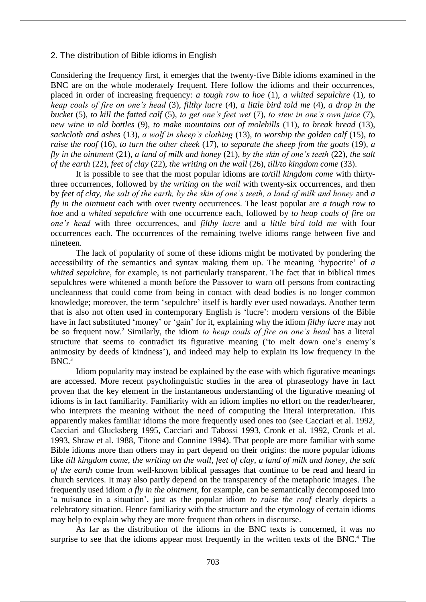#### 2. The distribution of Bible idioms in English

Considering the frequency first, it emerges that the twenty-five Bible idioms examined in the BNC are on the whole moderately frequent. Here follow the idioms and their occurrences, placed in order of increasing frequency: *a tough row to hoe* (1), *a whited sepulchre* (1), *to heap coals of fire on one's head* (3), *filthy lucre* (4), *a little bird told me* (4), *a drop in the bucket* (5), *to kill the fatted calf* (5), *to get one's feet wet* (7), *to stew in one's own juice* (7), *new wine in old bottles* (9), *to make mountains out of molehills* (11), *to break bread* (13), *sackcloth and ashes* (13), *a wolf in sheep's clothing* (13), *to worship the golden calf* (15), *to raise the roof* (16), *to turn the other cheek* (17), *to separate the sheep from the goats* (19), *a fly in the ointment* (21), *a land of milk and honey* (21), *by the skin of one's teeth* (22), *the salt of the earth* (22), *feet of clay* (22), *the writing on the wall* (26), *till/to kingdom come* (33).

It is possible to see that the most popular idioms are *to/till kingdom come* with thirtythree occurrences, followed by *the writing on the wall* with twenty-six occurrences, and then by *feet of clay, the salt of the earth, by the skin of one's teeth, a land of milk and honey* and *a fly in the ointment* each with over twenty occurrences. The least popular are *a tough row to hoe* and *a whited sepulchre* with one occurrence each, followed by *to heap coals of fire on one's head* with three occurrences, and *filthy lucre* and *a little bird told me* with four occurrences each. The occurrences of the remaining twelve idioms range between five and nineteen.

The lack of popularity of some of these idioms might be motivated by pondering the accessibility of the semantics and syntax making them up. The meaning 'hypocrite' of *a whited sepulchre*, for example, is not particularly transparent. The fact that in biblical times sepulchres were whitened a month before the Passover to warn off persons from contracting uncleanness that could come from being in contact with dead bodies is no longer common knowledge; moreover, the term 'sepulchre' itself is hardly ever used nowadays. Another term that is also not often used in contemporary English is 'lucre': modern versions of the Bible have in fact substituted 'money' or 'gain' for it, explaining why the idiom *filthy lucre* may not be so frequent now.<sup>2</sup> Similarly, the idiom *to heap coals of fire on one's head* has a literal structure that seems to contradict its figurative meaning ('to melt down one's enemy's animosity by deeds of kindness'), and indeed may help to explain its low frequency in the BNC.<sup>3</sup>

Idiom popularity may instead be explained by the ease with which figurative meanings are accessed. More recent psycholinguistic studies in the area of phraseology have in fact proven that the key element in the instantaneous understanding of the figurative meaning of idioms is in fact familiarity. Familiarity with an idiom implies no effort on the reader/hearer, who interprets the meaning without the need of computing the literal interpretation. This apparently makes familiar idioms the more frequently used ones too (see Cacciari et al. 1992, Cacciari and Glucksberg 1995, Cacciari and Tabossi 1993, Cronk et al. 1992, Cronk et al. 1993, Shraw et al. 1988, Titone and Connine 1994). That people are more familiar with some Bible idioms more than others may in part depend on their origins: the more popular idioms like *till kingdom come*, *the writing on the wall*, *feet of clay*, *a land of milk and honey*, *the salt of the earth* come from well-known biblical passages that continue to be read and heard in church services. It may also partly depend on the transparency of the metaphoric images. The frequently used idiom *a fly in the ointment*, for example, can be semantically decomposed into 'a nuisance in a situation', just as the popular idiom *to raise the roof* clearly depicts a celebratory situation. Hence familiarity with the structure and the etymology of certain idioms may help to explain why they are more frequent than others in discourse.

As far as the distribution of the idioms in the BNC texts is concerned, it was no surprise to see that the idioms appear most frequently in the written texts of the BNC.<sup>4</sup> The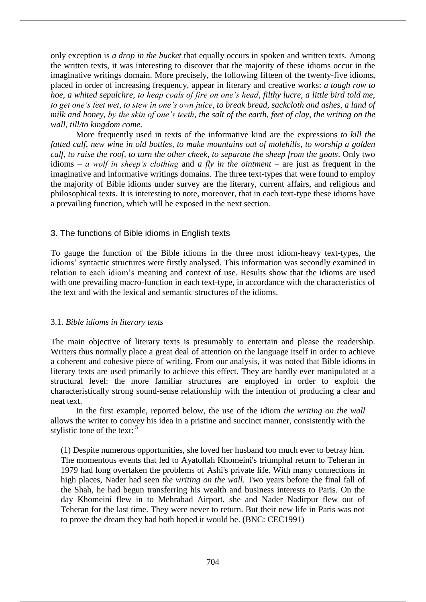only exception is *a drop in the bucket* that equally occurs in spoken and written texts. Among the written texts, it was interesting to discover that the majority of these idioms occur in the imaginative writings domain. More precisely, the following fifteen of the twenty-five idioms, placed in order of increasing frequency, appear in literary and creative works: *a tough row to hoe*, *a whited sepulchre*, *to heap coals of fire on one's head*, *filthy lucre*, *a little bird told me*, *to get one's feet wet*, *to stew in one's own juice*, *to break bread, sackcloth and ashes*, *a land of milk and honey, by the skin of one's teeth*, *the salt of the earth*, *feet of clay*, *the writing on the wall*, *till/to kingdom come*.

More frequently used in texts of the informative kind are the expressions *to kill the fatted calf*, *new wine in old bottles*, *to make mountains out of molehills, to worship a golden calf, to raise the roof, to turn the other cheek, to separate the sheep from the goats*. Only two idioms – *a wolf in sheep's clothing* and *a fly in the ointment –* are just as frequent in the imaginative and informative writings domains. The three text-types that were found to employ the majority of Bible idioms under survey are the literary, current affairs, and religious and philosophical texts. It is interesting to note, moreover, that in each text-type these idioms have a prevailing function, which will be exposed in the next section.

# 3. The functions of Bible idioms in English texts

To gauge the function of the Bible idioms in the three most idiom-heavy text-types, the idioms' syntactic structures were firstly analysed. This information was secondly examined in relation to each idiom's meaning and context of use. Results show that the idioms are used with one prevailing macro-function in each text-type, in accordance with the characteristics of the text and with the lexical and semantic structures of the idioms.

# 3.1. *Bible idioms in literary texts*

The main objective of literary texts is presumably to entertain and please the readership. Writers thus normally place a great deal of attention on the language itself in order to achieve a coherent and cohesive piece of writing. From our analysis, it was noted that Bible idioms in literary texts are used primarily to achieve this effect. They are hardly ever manipulated at a structural level: the more familiar structures are employed in order to exploit the characteristically strong sound-sense relationship with the intention of producing a clear and neat text.

In the first example, reported below, the use of the idiom *the writing on the wall*  allows the writer to convey his idea in a pristine and succinct manner, consistently with the stylistic tone of the text:  $5$ 

(1) Despite numerous opportunities, she loved her husband too much ever to betray him. The momentous events that led to Ayatollah Khomeini's triumphal return to Teheran in 1979 had long overtaken the problems of Ashi's private life. With many connections in high places, Nader had seen *the writing on the wall*. Two years before the final fall of the Shah, he had begun transferring his wealth and business interests to Paris. On the day Khomeini flew in to Mehrabad Airport, she and Nader Nadirpur flew out of Teheran for the last time. They were never to return. But their new life in Paris was not to prove the dream they had both hoped it would be. (BNC: CEC1991)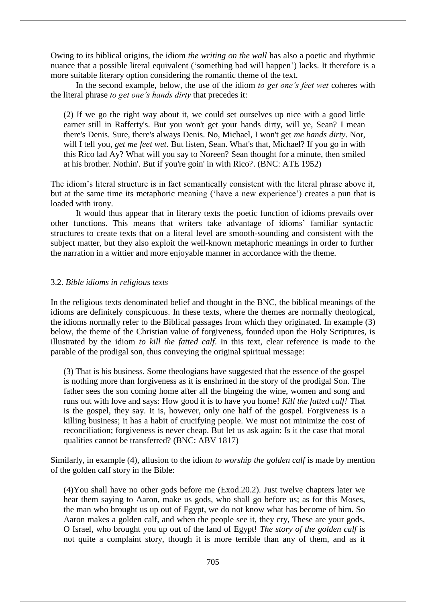Owing to its biblical origins, the idiom *the writing on the wall* has also a poetic and rhythmic nuance that a possible literal equivalent ('something bad will happen') lacks. It therefore is a more suitable literary option considering the romantic theme of the text.

In the second example, below, the use of the idiom *to get one's feet wet* coheres with the literal phrase *to get one's hands dirty* that precedes it:

(2) If we go the right way about it, we could set ourselves up nice with a good little earner still in Rafferty's. But you won't get your hands dirty, will ye, Sean? I mean there's Denis. Sure, there's always Denis. No, Michael, I won't get *me hands dirty*. Nor, will I tell you, *get me feet wet*. But listen, Sean. What's that, Michael? If you go in with this Rico lad Ay? What will you say to Noreen? Sean thought for a minute, then smiled at his brother. Nothin'. But if you're goin' in with Rico?. (BNC: ATE 1952)

The idiom's literal structure is in fact semantically consistent with the literal phrase above it, but at the same time its metaphoric meaning ('have a new experience') creates a pun that is loaded with irony.

It would thus appear that in literary texts the poetic function of idioms prevails over other functions. This means that writers take advantage of idioms' familiar syntactic structures to create texts that on a literal level are smooth-sounding and consistent with the subject matter, but they also exploit the well-known metaphoric meanings in order to further the narration in a wittier and more enjoyable manner in accordance with the theme.

# 3.2. *Bible idioms in religious texts*

In the religious texts denominated belief and thought in the BNC, the biblical meanings of the idioms are definitely conspicuous. In these texts, where the themes are normally theological, the idioms normally refer to the Biblical passages from which they originated. In example (3) below, the theme of the Christian value of forgiveness, founded upon the Holy Scriptures, is illustrated by the idiom *to kill the fatted calf*. In this text, clear reference is made to the parable of the prodigal son, thus conveying the original spiritual message:

(3) That is his business. Some theologians have suggested that the essence of the gospel is nothing more than forgiveness as it is enshrined in the story of the prodigal Son. The father sees the son coming home after all the bingeing the wine, women and song and runs out with love and says: How good it is to have you home! *Kill the fatted calf!* That is the gospel, they say. It is, however, only one half of the gospel. Forgiveness is a killing business; it has a habit of crucifying people. We must not minimize the cost of reconciliation; forgiveness is never cheap. But let us ask again: Is it the case that moral qualities cannot be transferred? (BNC: ABV 1817)

Similarly, in example (4), allusion to the idiom *to worship the golden calf* is made by mention of the golden calf story in the Bible:

(4)You shall have no other gods before me (Exod.20.2). Just twelve chapters later we hear them saying to Aaron, make us gods, who shall go before us; as for this Moses, the man who brought us up out of Egypt, we do not know what has become of him. So Aaron makes a golden calf, and when the people see it, they cry, These are your gods, O Israel, who brought you up out of the land of Egypt! *The story of the golden calf* is not quite a complaint story, though it is more terrible than any of them, and as it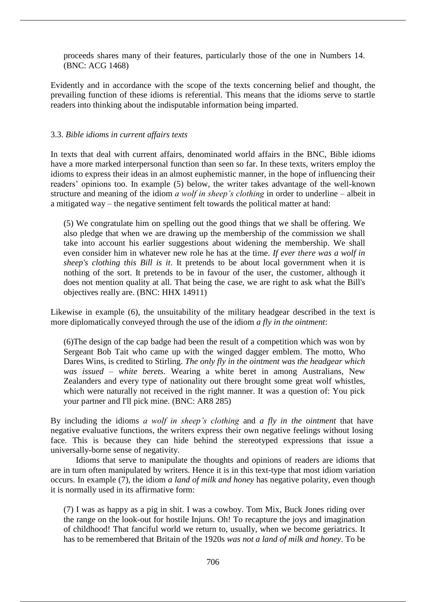proceeds shares many of their features, particularly those of the one in Numbers 14. (BNC: ACG 1468)

Evidently and in accordance with the scope of the texts concerning belief and thought, the prevailing function of these idioms is referential. This means that the idioms serve to startle readers into thinking about the indisputable information being imparted.

# 3.3. *Bible idioms in current affairs texts*

In texts that deal with current affairs, denominated world affairs in the BNC, Bible idioms have a more marked interpersonal function than seen so far. In these texts, writers employ the idioms to express their ideas in an almost euphemistic manner, in the hope of influencing their readers' opinions too. In example (5) below, the writer takes advantage of the well-known structure and meaning of the idiom *a wolf in sheep's clothing* in order to underline – albeit in a mitigated way – the negative sentiment felt towards the political matter at hand:

(5) We congratulate him on spelling out the good things that we shall be offering. We also pledge that when we are drawing up the membership of the commission we shall take into account his earlier suggestions about widening the membership. We shall even consider him in whatever new role he has at the time. *If ever there was a wolf in sheep's clothing this Bill is it*. It pretends to be about local government when it is nothing of the sort. It pretends to be in favour of the user, the customer, although it does not mention quality at all. That being the case, we are right to ask what the Bill's objectives really are. (BNC: HHX 14911)

Likewise in example (6), the unsuitability of the military headgear described in the text is more diplomatically conveyed through the use of the idiom *a fly in the ointment*:

(6)The design of the cap badge had been the result of a competition which was won by Sergeant Bob Tait who came up with the winged dagger emblem. The motto, Who Dares Wins, is credited to Stirling. *The only fly in the ointment was the headgear which was issued – white berets*. Wearing a white beret in among Australians, New Zealanders and every type of nationality out there brought some great wolf whistles, which were naturally not received in the right manner. It was a question of: You pick your partner and I'll pick mine. (BNC: AR8 285)

By including the idioms *a wolf in sheep's clothing* and *a fly in the ointment* that have negative evaluative functions, the writers express their own negative feelings without losing face. This is because they can hide behind the stereotyped expressions that issue a universally-borne sense of negativity.

Idioms that serve to manipulate the thoughts and opinions of readers are idioms that are in turn often manipulated by writers. Hence it is in this text-type that most idiom variation occurs. In example (7), the idiom *a land of milk and honey* has negative polarity, even though it is normally used in its affirmative form:

(7) I was as happy as a pig in shit. I was a cowboy. Tom Mix, Buck Jones riding over the range on the look-out for hostile Injuns. Oh! To recapture the joys and imagination of childhood! That fanciful world we return to, usually, when we become geriatrics. It has to be remembered that Britain of the 1920s *was not a land of milk and honey*. To be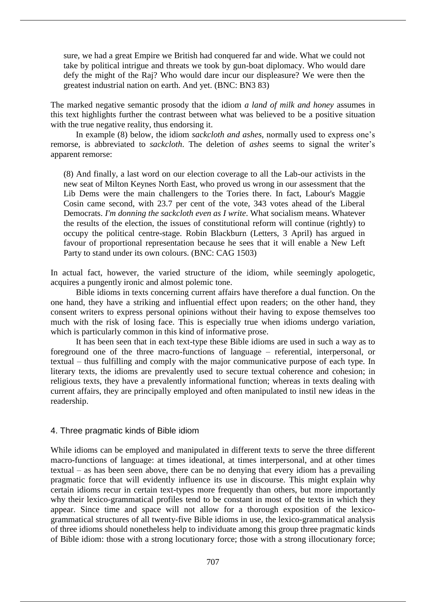sure, we had a great Empire we British had conquered far and wide. What we could not take by political intrigue and threats we took by gun-boat diplomacy. Who would dare defy the might of the Raj? Who would dare incur our displeasure? We were then the greatest industrial nation on earth. And yet. (BNC: BN3 83)

The marked negative semantic prosody that the idiom *a land of milk and honey* assumes in this text highlights further the contrast between what was believed to be a positive situation with the true negative reality, thus endorsing it.

In example (8) below, the idiom *sackcloth and ashes*, normally used to express one's remorse, is abbreviated to *sackcloth*. The deletion of *ashes* seems to signal the writer's apparent remorse:

(8) And finally, a last word on our election coverage to all the Lab-our activists in the new seat of Milton Keynes North East, who proved us wrong in our assessment that the Lib Dems were the main challengers to the Tories there. In fact, Labour's Maggie Cosin came second, with 23.7 per cent of the vote, 343 votes ahead of the Liberal Democrats. *I'm donning the sackcloth even as I write*. What socialism means. Whatever the results of the election, the issues of constitutional reform will continue (rightly) to occupy the political centre-stage. Robin Blackburn (Letters, 3 April) has argued in favour of proportional representation because he sees that it will enable a New Left Party to stand under its own colours. (BNC: CAG 1503)

In actual fact, however, the varied structure of the idiom, while seemingly apologetic, acquires a pungently ironic and almost polemic tone.

Bible idioms in texts concerning current affairs have therefore a dual function. On the one hand, they have a striking and influential effect upon readers; on the other hand, they consent writers to express personal opinions without their having to expose themselves too much with the risk of losing face. This is especially true when idioms undergo variation, which is particularly common in this kind of informative prose.

It has been seen that in each text-type these Bible idioms are used in such a way as to foreground one of the three macro-functions of language – referential, interpersonal, or textual – thus fulfilling and comply with the major communicative purpose of each type. In literary texts, the idioms are prevalently used to secure textual coherence and cohesion; in religious texts, they have a prevalently informational function; whereas in texts dealing with current affairs, they are principally employed and often manipulated to instil new ideas in the readership.

## 4. Three pragmatic kinds of Bible idiom

While idioms can be employed and manipulated in different texts to serve the three different macro-functions of language: at times ideational, at times interpersonal, and at other times textual – as has been seen above, there can be no denying that every idiom has a prevailing pragmatic force that will evidently influence its use in discourse. This might explain why certain idioms recur in certain text-types more frequently than others, but more importantly why their lexico-grammatical profiles tend to be constant in most of the texts in which they appear. Since time and space will not allow for a thorough exposition of the lexicogrammatical structures of all twenty-five Bible idioms in use, the lexico-grammatical analysis of three idioms should nonetheless help to individuate among this group three pragmatic kinds of Bible idiom: those with a strong locutionary force; those with a strong illocutionary force;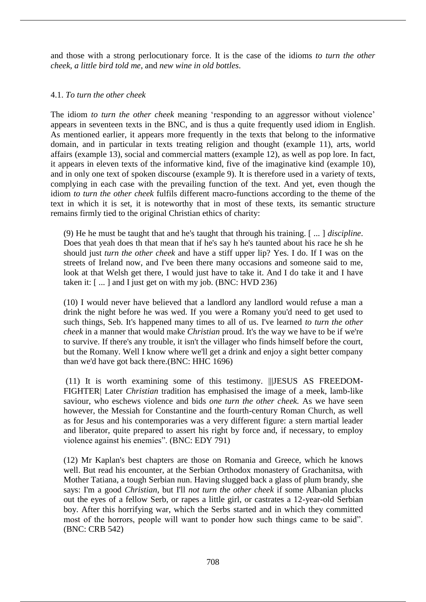and those with a strong perlocutionary force. It is the case of the idioms *to turn the other cheek*, *a little bird told me*, and *new wine in old bottles*.

## 4.1. *To turn the other cheek*

The idiom *to turn the other cheek* meaning 'responding to an aggressor without violence' appears in seventeen texts in the BNC, and is thus a quite frequently used idiom in English. As mentioned earlier, it appears more frequently in the texts that belong to the informative domain, and in particular in texts treating religion and thought (example 11), arts, world affairs (example 13), social and commercial matters (example 12), as well as pop lore. In fact, it appears in eleven texts of the informative kind, five of the imaginative kind (example 10), and in only one text of spoken discourse (example 9). It is therefore used in a variety of texts, complying in each case with the prevailing function of the text. And yet, even though the idiom *to turn the other cheek* fulfils different macro-functions according to the theme of the text in which it is set, it is noteworthy that in most of these texts, its semantic structure remains firmly tied to the original Christian ethics of charity:

(9) He he must be taught that and he's taught that through his training. [ ... ] *discipline*. Does that yeah does th that mean that if he's say h he's taunted about his race he sh he should just *turn the other cheek* and have a stiff upper lip? Yes. I do. If I was on the streets of Ireland now, and I've been there many occasions and someone said to me, look at that Welsh get there, I would just have to take it. And I do take it and I have taken it: [ ... ] and I just get on with my job. (BNC: HVD 236)

(10) I would never have believed that a landlord any landlord would refuse a man a drink the night before he was wed. If you were a Romany you'd need to get used to such things, Seb. It's happened many times to all of us. I've learned *to turn the other cheek* in a manner that would make *Christian* proud. It's the way we have to be if we're to survive. If there's any trouble, it isn't the villager who finds himself before the court, but the Romany. Well I know where we'll get a drink and enjoy a sight better company than we'd have got back there.(BNC: HHC 1696)

(11) It is worth examining some of this testimony. |||JESUS AS FREEDOM-FIGHTER| Later *Christian* tradition has emphasised the image of a meek, lamb-like saviour, who eschews violence and bids *one turn the other cheek.* As we have seen however, the Messiah for Constantine and the fourth-century Roman Church, as well as for Jesus and his contemporaries was a very different figure: a stern martial leader and liberator, quite prepared to assert his right by force and, if necessary, to employ violence against his enemies". (BNC: EDY 791)

(12) Mr Kaplan's best chapters are those on Romania and Greece, which he knows well. But read his encounter, at the Serbian Orthodox monastery of Grachanitsa, with Mother Tatiana, a tough Serbian nun. Having slugged back a glass of plum brandy, she says: I'm a good *Christian*, but I'll *not turn the other cheek* if some Albanian plucks out the eyes of a fellow Serb, or rapes a little girl, or castrates a 12-year-old Serbian boy. After this horrifying war, which the Serbs started and in which they committed most of the horrors, people will want to ponder how such things came to be said". (BNC: CRB 542)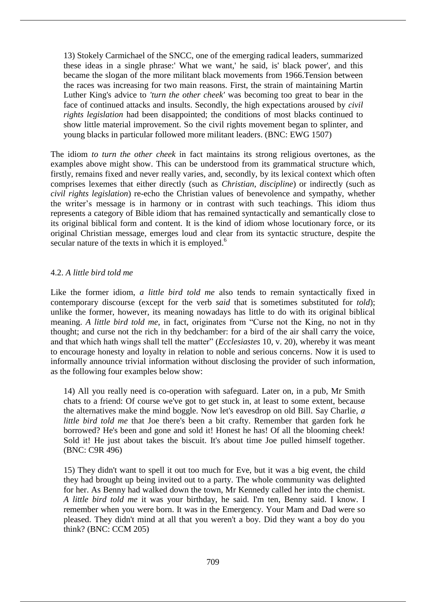13) Stokely Carmichael of the SNCC, one of the emerging radical leaders, summarized these ideas in a single phrase:' What we want,' he said, is' black power', and this became the slogan of the more militant black movements from 1966.Tension between the races was increasing for two main reasons. First, the strain of maintaining Martin Luther King's advice to *'turn the other cheek'* was becoming too great to bear in the face of continued attacks and insults. Secondly, the high expectations aroused by *civil rights legislation* had been disappointed; the conditions of most blacks continued to show little material improvement. So the civil rights movement began to splinter, and young blacks in particular followed more militant leaders. (BNC: EWG 1507)

The idiom *to turn the other cheek* in fact maintains its strong religious overtones, as the examples above might show. This can be understood from its grammatical structure which, firstly, remains fixed and never really varies, and, secondly, by its lexical context which often comprises lexemes that either directly (such as *Christian*, *discipline*) or indirectly (such as *civil rights legislation*) re-echo the Christian values of benevolence and sympathy, whether the writer's message is in harmony or in contrast with such teachings. This idiom thus represents a category of Bible idiom that has remained syntactically and semantically close to its original biblical form and content. It is the kind of idiom whose locutionary force, or its original Christian message, emerges loud and clear from its syntactic structure, despite the secular nature of the texts in which it is employed.<sup>6</sup>

# 4.2. *A little bird told me*

Like the former idiom, *a little bird told me* also tends to remain syntactically fixed in contemporary discourse (except for the verb *said* that is sometimes substituted for *told*); unlike the former, however, its meaning nowadays has little to do with its original biblical meaning. *A little bird told me*, in fact, originates from "Curse not the King, no not in thy thought; and curse not the rich in thy bedchamber: for a bird of the air shall carry the voice, and that which hath wings shall tell the matter" (*Ecclesiastes* 10, v. 20), whereby it was meant to encourage honesty and loyalty in relation to noble and serious concerns. Now it is used to informally announce trivial information without disclosing the provider of such information, as the following four examples below show:

14) All you really need is co-operation with safeguard. Later on, in a pub, Mr Smith chats to a friend: Of course we've got to get stuck in, at least to some extent, because the alternatives make the mind boggle. Now let's eavesdrop on old Bill. Say Charlie, *a little bird told me* that Joe there's been a bit crafty. Remember that garden fork he borrowed? He's been and gone and sold it! Honest he has! Of all the blooming cheek! Sold it! He just about takes the biscuit. It's about time Joe pulled himself together. (BNC: C9R 496)

15) They didn't want to spell it out too much for Eve, but it was a big event, the child they had brought up being invited out to a party. The whole community was delighted for her. As Benny had walked down the town, Mr Kennedy called her into the chemist. *A little bird told me* it was your birthday, he said. I'm ten, Benny said. I know. I remember when you were born. It was in the Emergency. Your Mam and Dad were so pleased. They didn't mind at all that you weren't a boy. Did they want a boy do you think? (BNC: CCM 205)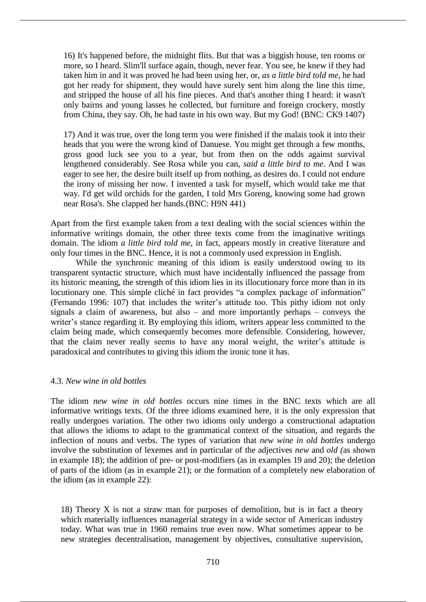16) It's happened before, the midnight flits. But that was a biggish house, ten rooms or more, so I heard. Slim'll surface again, though, never fear. You see, he knew if they had taken him in and it was proved he had been using her, or, *as a little bird told me*, he had got her ready for shipment, they would have surely sent him along the line this time, and stripped the house of all his fine pieces. And that's another thing I heard: it wasn't only bairns and young lasses he collected, but furniture and foreign crockery, mostly from China, they say. Oh, he had taste in his own way. But my God! (BNC: CK9 1407)

17) And it was true, over the long term you were finished if the malais took it into their heads that you were the wrong kind of Danuese. You might get through a few months, gross good luck see you to a year, but from then on the odds against survival lengthened considerably. See Rosa while you can, *said a little bird to me*. And I was eager to see her, the desire built itself up from nothing, as desires do. I could not endure the irony of missing her now. I invented a task for myself, which would take me that way. I'd get wild orchids for the garden, I told Mrs Goreng, knowing some had grown near Rosa's. She clapped her hands.(BNC: H9N 441)

Apart from the first example taken from a text dealing with the social sciences within the informative writings domain, the other three texts come from the imaginative writings domain. The idiom *a little bird told me*, in fact, appears mostly in creative literature and only four times in the BNC. Hence, it is not a commonly used expression in English.

While the synchronic meaning of this idiom is easily understood owing to its transparent syntactic structure, which must have incidentally influenced the passage from its historic meaning, the strength of this idiom lies in its illocutionary force more than in its locutionary one. This simple cliché in fact provides "a complex package of information" (Fernando 1996: 107) that includes the writer's attitude too. This pithy idiom not only signals a claim of awareness, but also – and more importantly perhaps – conveys the writer's stance regarding it. By employing this idiom, writers appear less committed to the claim being made, which consequently becomes more defensible. Considering, however, that the claim never really seems to have any moral weight, the writer's attitude is paradoxical and contributes to giving this idiom the ironic tone it has.

## 4.3. *New wine in old bottles*

The idiom *new wine in old bottles* occurs nine times in the BNC texts which are all informative writings texts. Of the three idioms examined here, it is the only expression that really undergoes variation. The other two idioms only undergo a constructional adaptation that allows the idioms to adapt to the grammatical context of the situation, and regards the inflection of nouns and verbs. The types of variation that *new wine in old bottles* undergo involve the substitution of lexemes and in particular of the adjectives *new* and *old (*as shown in example 18); the addition of pre- or post-modifiers (as in examples 19 and 20); the deletion of parts of the idiom (as in example 21); or the formation of a completely new elaboration of the idiom (as in example 22):

18) Theory X is not a straw man for purposes of demolition, but is in fact a theory which materially influences managerial strategy in a wide sector of American industry today. What was true in 1960 remains true even now. What sometimes appear to be new strategies decentralisation, management by objectives, consultative supervision,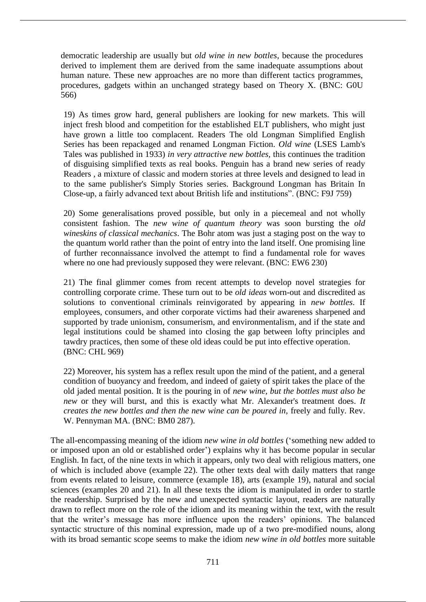democratic leadership are usually but *old wine in new bottles,* because the procedures derived to implement them are derived from the same inadequate assumptions about human nature. These new approaches are no more than different tactics programmes, procedures, gadgets within an unchanged strategy based on Theory X. (BNC: G0U 566)

19) As times grow hard, general publishers are looking for new markets. This will inject fresh blood and competition for the established ELT publishers, who might just have grown a little too complacent. Readers The old Longman Simplified English Series has been repackaged and renamed Longman Fiction. *Old wine* (LSES Lamb's Tales was published in 1933) *in very attractive new bottles,* this continues the tradition of disguising simplified texts as real books. Penguin has a brand new series of ready Readers , a mixture of classic and modern stories at three levels and designed to lead in to the same publisher's Simply Stories series. Background Longman has Britain In Close-up, a fairly advanced text about British life and institutions". (BNC: F9J 759)

20) Some generalisations proved possible, but only in a piecemeal and not wholly consistent fashion. The *new wine of quantum theory* was soon bursting the *old wineskins of classical mechanics*. The Bohr atom was just a staging post on the way to the quantum world rather than the point of entry into the land itself. One promising line of further reconnaissance involved the attempt to find a fundamental role for waves where no one had previously supposed they were relevant. (BNC: EW6 230)

21) The final glimmer comes from recent attempts to develop novel strategies for controlling corporate crime. These turn out to be *old ideas* worn-out and discredited as solutions to conventional criminals reinvigorated by appearing in *new bottles*. If employees, consumers, and other corporate victims had their awareness sharpened and supported by trade unionism, consumerism, and environmentalism, and if the state and legal institutions could be shamed into closing the gap between lofty principles and tawdry practices, then some of these old ideas could be put into effective operation. (BNC: CHL 969)

22) Moreover, his system has a reflex result upon the mind of the patient, and a general condition of buoyancy and freedom, and indeed of gaiety of spirit takes the place of the old jaded mental position. It is the pouring in of *new wine, but the bottles must also be new* or they will burst, and this is exactly what Mr. Alexander's treatment does. *It creates the new bottles and then the new wine can be poured in, freely and fully. Rev.* W. Pennyman MA. (BNC: BM0 287).

The all-encompassing meaning of the idiom *new wine in old bottles* ('something new added to or imposed upon an old or established order') explains why it has become popular in secular English. In fact, of the nine texts in which it appears, only two deal with religious matters, one of which is included above (example 22). The other texts deal with daily matters that range from events related to leisure, commerce (example 18), arts (example 19), natural and social sciences (examples 20 and 21). In all these texts the idiom is manipulated in order to startle the readership. Surprised by the new and unexpected syntactic layout, readers are naturally drawn to reflect more on the role of the idiom and its meaning within the text, with the result that the writer's message has more influence upon the readers' opinions. The balanced syntactic structure of this nominal expression, made up of a two pre-modified nouns, along with its broad semantic scope seems to make the idiom *new wine in old bottles* more suitable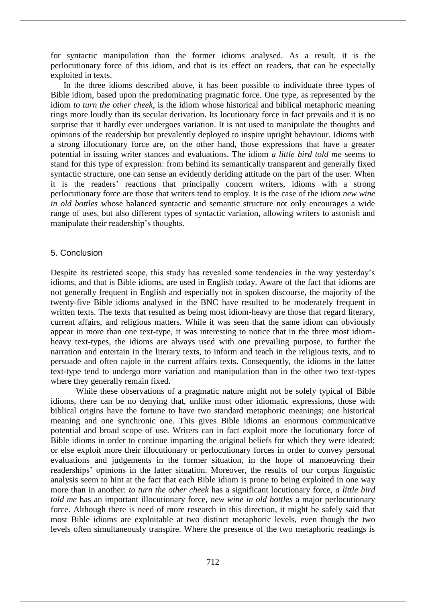for syntactic manipulation than the former idioms analysed. As a result, it is the perlocutionary force of this idiom, and that is its effect on readers, that can be especially exploited in texts.

In the three idioms described above, it has been possible to individuate three types of Bible idiom, based upon the predominating pragmatic force. One type, as represented by the idiom *to turn the other cheek*, is the idiom whose historical and biblical metaphoric meaning rings more loudly than its secular derivation. Its locutionary force in fact prevails and it is no surprise that it hardly ever undergoes variation. It is not used to manipulate the thoughts and opinions of the readership but prevalently deployed to inspire upright behaviour. Idioms with a strong illocutionary force are, on the other hand, those expressions that have a greater potential in issuing writer stances and evaluations. The idiom *a little bird told me* seems to stand for this type of expression: from behind its semantically transparent and generally fixed syntactic structure, one can sense an evidently deriding attitude on the part of the user. When it is the readers' reactions that principally concern writers, idioms with a strong perlocutionary force are those that writers tend to employ. It is the case of the idiom *new wine in old bottles* whose balanced syntactic and semantic structure not only encourages a wide range of uses, but also different types of syntactic variation, allowing writers to astonish and manipulate their readership's thoughts.

## 5. Conclusion

Despite its restricted scope, this study has revealed some tendencies in the way yesterday's idioms, and that is Bible idioms, are used in English today. Aware of the fact that idioms are not generally frequent in English and especially not in spoken discourse, the majority of the twenty-five Bible idioms analysed in the BNC have resulted to be moderately frequent in written texts. The texts that resulted as being most idiom-heavy are those that regard literary, current affairs, and religious matters. While it was seen that the same idiom can obviously appear in more than one text-type, it was interesting to notice that in the three most idiomheavy text-types, the idioms are always used with one prevailing purpose, to further the narration and entertain in the literary texts, to inform and teach in the religious texts, and to persuade and often cajole in the current affairs texts. Consequently, the idioms in the latter text-type tend to undergo more variation and manipulation than in the other two text-types where they generally remain fixed.

While these observations of a pragmatic nature might not be solely typical of Bible idioms, there can be no denying that, unlike most other idiomatic expressions, those with biblical origins have the fortune to have two standard metaphoric meanings; one historical meaning and one synchronic one. This gives Bible idioms an enormous communicative potential and broad scope of use. Writers can in fact exploit more the locutionary force of Bible idioms in order to continue imparting the original beliefs for which they were ideated; or else exploit more their illocutionary or perlocutionary forces in order to convey personal evaluations and judgements in the former situation, in the hope of manoeuvring their readerships' opinions in the latter situation. Moreover, the results of our corpus linguistic analysis seem to hint at the fact that each Bible idiom is prone to being exploited in one way more than in another: *to turn the other cheek* has a significant locutionary force, *a little bird told me* has an important illocutionary force, *new wine in old bottles* a major perlocutionary force. Although there is need of more research in this direction, it might be safely said that most Bible idioms are exploitable at two distinct metaphoric levels, even though the two levels often simultaneously transpire. Where the presence of the two metaphoric readings is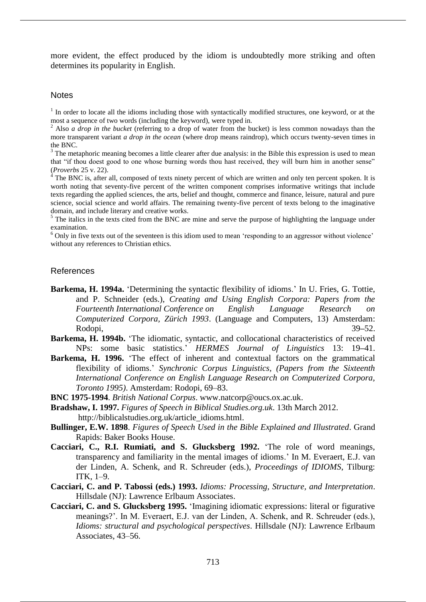more evident, the effect produced by the idiom is undoubtedly more striking and often determines its popularity in English.

#### **Notes**

 $1$  In order to locate all the idioms including those with syntactically modified structures, one keyword, or at the most a sequence of two words (including the keyword), were typed in.

<sup>2</sup> Also *a drop in the bucket* (referring to a drop of water from the bucket) is less common nowadays than the more transparent variant *a drop in the ocean* (where drop means raindrop), which occurs twenty-seven times in the BNC.

 $3$  The metaphoric meaning becomes a little clearer after due analysis: in the Bible this expression is used to mean that "if thou doest good to one whose burning words thou hast received, they will burn him in another sense" (*Proverbs* 25 v. 22).

 $4$  The BNC is, after all, composed of texts ninety percent of which are written and only ten percent spoken. It is worth noting that seventy-five percent of the written component comprises informative writings that include texts regarding the applied sciences, the arts, belief and thought, commerce and finance, leisure, natural and pure science, social science and world affairs. The remaining twenty-five percent of texts belong to the imaginative domain, and include literary and creative works.

<sup>5</sup> The italics in the texts cited from the BNC are mine and serve the purpose of highlighting the language under examination.

<sup>6</sup> Only in five texts out of the seventeen is this idiom used to mean 'responding to an aggressor without violence' without any references to Christian ethics.

#### References

- **Barkema, H. 1994a.** 'Determining the syntactic flexibility of idioms.' In U. Fries, G. Tottie, and P. Schneider (eds.), *Creating and Using English Corpora: Papers from the Fourteenth International Conference on English Language Research on Computerized Corpora, Zürich 1993*. (Language and Computers, 13) Amsterdam: Rodopi, 39**–**52.
- **Barkema, H. 1994b.** 'The idiomatic, syntactic, and collocational characteristics of received NPs: some basic statistics.' *HERMES Journal of Linguistics* 13: 19**–**41.
- **Barkema, H. 1996.** 'The effect of inherent and contextual factors on the grammatical flexibility of idioms.' *Synchronic Corpus Linguistics, (Papers from the Sixteenth International Conference on English Language Research on Computerized Corpora, Toronto 1995)*. Amsterdam: Rodopi, 69–83.
- **BNC 1975-1994**. *British National Corpus*. www.natcorp@oucs.ox.ac.uk.
- **Bradshaw, I. 1997.** *Figures of Speech in Biblical Studies.org.uk*. 13th March 2012. http://biblicalstudies.org.uk/article\_idioms.html.
- **Bullinger, E.W. 1898**. *Figures of Speech Used in the Bible Explained and Illustrated*. Grand Rapids: Baker Books House.
- **Cacciari, C., R.I. Rumiati, and S. Glucksberg 1992.** 'The role of word meanings, transparency and familiarity in the mental images of idioms.' In M. Everaert, E.J. van der Linden, A. Schenk, and R. Schreuder (eds.), *Proceedings of IDIOMS*, Tilburg: ITK, 1–9.
- **Cacciari, C. and P. Tabossi (eds.) 1993.** *Idioms: Processing, Structure, and Interpretation*. Hillsdale (NJ): Lawrence Erlbaum Associates.
- **Cacciari, C. and S. Glucksberg 1995.** 'Imagining idiomatic expressions: literal or figurative meanings?'. In M. Everaert, E.J. van der Linden, A. Schenk, and R. Schreuder (eds.), *Idioms: structural and psychological perspectives*. Hillsdale (NJ): Lawrence Erlbaum Associates, 43–56.